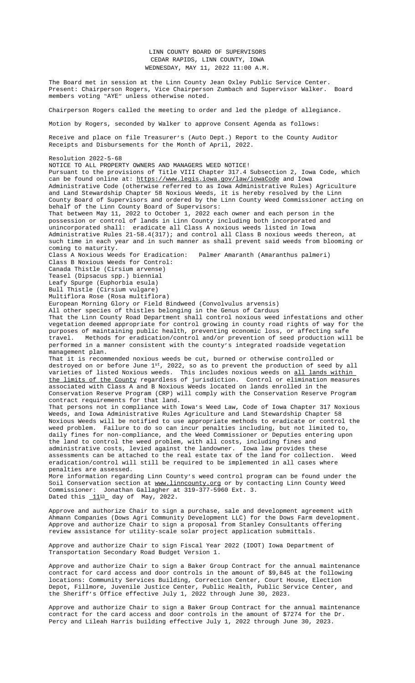Receipts and Disbursements for the Month of April, 2022.

Resolution 2022-5-68 NOTICE TO ALL PROPERTY OWNERS AND MANAGERS WEED NOTICE! Pursuant to the provisions of Title VIII Chapter 317.4 Subsection 2, Iowa Code, which can be found online at: https://www.legis.iowa.gov/law/iowaCode and Iowa Administrative Code (otherwise referred to as Iowa Administrative Rules) Agriculture and Land Stewardship Chapter 58 Noxious Weeds, it is hereby resolved by the Linn County Board of Supervisors and ordered by the Linn County Weed Commissioner acting on behalf of the Linn County Board of Supervisors: That between May 11, 2022 to October 1, 2022 each owner and each person in the possession or control of lands in Linn County including both incorporated and unincorporated shall: eradicate all Class A noxious weeds listed in Iowa Administrative Rules 21-58.4(317); and control all Class B noxious weeds thereon, at such time in each year and in such manner as shall prevent said weeds from blooming or coming to maturity. Class A Noxious Weeds for Eradication: Palmer Amaranth (Amaranthus palmeri) Class B Noxious Weeds for Control: Canada Thistle (Cirsium arvense) Teasel (Dipsacus spp.) biennial Leafy Spurge (Euphorbia e[sula\)](file:///C:\\Users\\AHoy\\AppData\\Local\\Microsoft\\Windows\\INetCache\\Content.Outlook\\M9Z7QANL\\Documents\\5-11%20Treasurer) Bull Thistle (Cirsium vulgare) Multiflora Rose (Rosa multiflora) European Morning Glory or Field Bindweed (Convolvulus arvensis) All other species of thistles belonging in the Genus of Carduus That the Linn County Road Department shall control noxious weed infestations and other vegetation deemed approp[riate for control growing in county roa](https://www.legis.iowa.gov/law/iowaCode)d rights of way for the purposes of maintaining public health, preventing economic loss, or affecting safe travel. Methods for eradication/control and/or prevention of seed production will be performed in a manner consistent with the county's integrated roadside vegetation management plan. That it is recommended noxious weeds be cut, burned or otherwise controlled or destroyed on or before June 1st, 2022, so as to prevent the production of seed by all varieties of listed Noxious weeds. This includes noxious weeds on all lands within the limits of the County regardless of jurisdiction. Control or elimination measures associated with Class A and B Noxious Weeds located on lands enrolled in the Conservation Reserve Program (CRP) will comply with the Conservation Reserve Program contract requirements for that land. That persons not in compliance with Iowa's Weed Law, Code of Iowa Chapter 317 Noxious Weeds, and Iowa Administrative Rules Agriculture and Land Stewardship Chapter 58 Noxious Weeds will be notified to use appropriate methods to eradicate or control the weed problem. Failure to do so can incur penalties including, but not limited to, daily fines for non-compliance, and the Weed Commissioner or Deputies entering upon the land to control the weed problem, with all costs, including fines and administrative costs, levied against the landowner. Iowa law provides these assessments can be attached to the real estate tax of the land for collection. Weed eradication/control will still be required to be implemented in all cases where penalties are assessed. More information regarding Linn County's weed control program can be found under the Soil Conservation section at www.linncounty.org or by contacting Linn County Weed Commissioner: Jonathan Gallagher at 319-377-5960 Ext. 3. Dated this  $11^{th}$  day of May, 2022.

Approve and authorize Chair to sign a purchase, sale and development agreement with Ahmann Companies (Dows Agri Community Development LLC) for the Dows Farm development. Approve and authorize Chair to sign a proposal from Stanley Consultants offering review assistance for utility-scale solar project application submittals.

Approve and authorize Chair to sign Fiscal Year 2022 (IDOT) Iowa Department of Transportation Secondary Road Budget Version 1.

Approve and authorize Chair to sign a Baker Group Contract for the annual maintenance contract for card access and door controls in the amount of \$9,845 at the following locations: Community Services Building, Correction Center, Court House, Election Depot, Fillmore, Juvenile Justice Center, Public Health, Public Service Center, and the Sheriff's Office effective July 1, 2022 through June 30, 2023.

Approve and authorize Chair to sign a Baker Group Contract for the annual maintenance contract for the card access and door controls in the amount of \$7274 for the Dr. Percy and Lileah Harris building effective July 1, 2022 through June 30, 2023.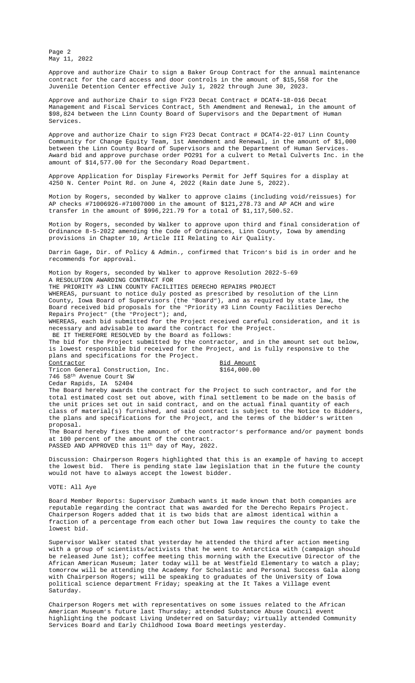between the Linn County Board of Supervisors and the Department of Human Services. Award bid and approve purchase order PO291 for a culvert to Metal Culverts Inc. in the amount of \$14,577.00 for the Secondary Road Department.

Approve Application for Display Fireworks Permit for Jeff Squires for a display at 4250 N. Center Point Rd. on June 4, 2022 (Rain date June 5, 2022).

Motion by Rogers, seconded by Walker to approve claims (including void/reissues) for AP checks #71006926-#71007000 in the amount of \$121,278.73 and AP ACH and wire transfer in the amount of \$996,221.79 for a total of \$1,117,500.52.

Motion by Rogers, seconded by Walker to approve upon third and final consideration of [Ordinance 8-5-2022](file:///C:\\Users\\AHoy\\AppData\\Local\\Microsoft\\Windows\\INetCache\\Content.Outlook\\M9Z7QANL\\Documents\\5-11%20Baker-JDC.pdf) amending the Code of Ordinances, Linn County, Iowa by amending provisions in Chapter 10, Article III Relating to Air Quality.

Darrin Gage, Dir. of Policy & Admin., co[nfirmed that Tricon](file:///C:\\Users\\AHoy\\AppData\\Local\\Microsoft\\Windows\\INetCache\\Content.Outlook\\M9Z7QANL\\Documents\\5-11%205th%20Amendment%20-%20DCAT4-18-016%20Staff.rtf.pdf)'s bid is in order and he recommends for approval.

Motion by Rogers, seconded by Walker to approve Resolution 2022-5-69 A RESOLUTION AWARDING CONTRACT FOR THE PRIORITY #3 LINN [COUNTY FACILITIES DERECHO REPAIRS PROJE](file:///C:\\Users\\AHoy\\AppData\\Local\\Microsoft\\Windows\\INetCache\\Content.Outlook\\M9Z7QANL\\Documents\\5-11%20Equity%20Team%20First%20Amendment%20-%20DCAT4-22-017.pdf)CT WHEREAS, pursuant to notice duly posted as prescribed by resolution of the Linn County, Iowa Board of [Supervisors \(the](file:///C:\\Users\\AHoy\\AppData\\Local\\Microsoft\\Windows\\INetCache\\Content.Outlook\\M9Z7QANL\\Documents\\5-11%20PO291%20-%20Metal%20Culverts%20-%20DL-CMP%202020(22).pdf) "Board"), and as req[uired by state law,](file:///C:\\Users\\AHoy\\AppData\\Local\\Microsoft\\Windows\\INetCache\\Content.Outlook\\M9Z7QANL\\Documents\\5-11%202022%20Results%20-%20Day%20Labor%20Culverts%20-%20DL-CMP%202020(22).pdf) the Board received bid proposals for the "Priority #3 Linn County Facilities Derecho Repairs Project" (the "Project"); and, WHEREAS, each bid submit[ted for the Project received careful consi](file:///C:\\Users\\AHoy\\AppData\\Local\\Microsoft\\Windows\\INetCache\\Content.Outlook\\M9Z7QANL\\Documents\\5-11%20Fire%20Works%20Permit%20-Squires.pdf)deration, and it is

necessary and advisable to award the contract for the Project.

BE IT THEREFORE RESOLVED by the Board as follows:

The bid for the Project submitted by the contractor, and in the amount set out below, is lowest responsible bid received for the Project, and is fully responsive to the plans and specifications for the Project.

Contractor Bid Amount Tricon General Construction, Inc. \$164,000.00 746 58th Avenue Court SW

Cedar Rapids, IA 52404

The Board hereby awards [the contract for the Project to such](file:///C:\\Users\\AHoy\\AppData\\Local\\Microsoft\\Windows\\INetCache\\Content.Outlook\\M9Z7QANL\\Documents\\5-2,%205-4,%20&%205-11%20Summary%20of%20Changes%20Article%20III,%20Air%20Quality.pdf) contractor, and for the total estimated cost set out above, with final settlement to be made on the basis of the unit prices set out in said contract, and on the actual final quantity of each class of material(s) furnished, and said contract is subject to the Notice to Bidders, the plans and specifications for the Project, and the terms of the bidder's written proposal.

The Board hereby fixes the amount of the contractor's performance and/or payment bonds at 100 percent of the amount of the contract. PASSED AND APPROVED this 11th day of May, 2022.

Discussion: Chairperson Rogers highlighted that this is an example of having to accept the lowest bid. There is pending state law legislation that in the future the county would not have to always accept the lowest bidder.

VOTE: All Aye

Board Member Reports: Supervisor Zumbach wants it made known that both companies are reputable regarding the contract that was awarded for the Derecho Repairs Project. Chairperson Rogers added that it is two bids that are almost identical within a fraction of a percentage from each other but Iowa law requires the county to take the lowest bid.

Supervisor Walker stated that yesterday he attended the third after action meeting with a group of scientists/activists that he went to Antarctica with (campaign should be released June 1st); coffee meeting this morning with the Executive Director of the African American Museum; later today will be at Westfield Elementary to watch a play; tomorrow will be attending the Academy for Scholastic and Personal Success Gala along with Chairperson Rogers; will be speaking to graduates of the University of Iowa political science department Friday; speaking at the It Takes a Village event Saturday.

Chairperson Rogers met with representatives on some issues related to the African American Museum's future last Thursday; attended Substance Abuse Council event highlighting the podcast Living Undeterred on Saturday; virtually attended Community Services Board and Early Childhood Iowa Board meetings yesterday.